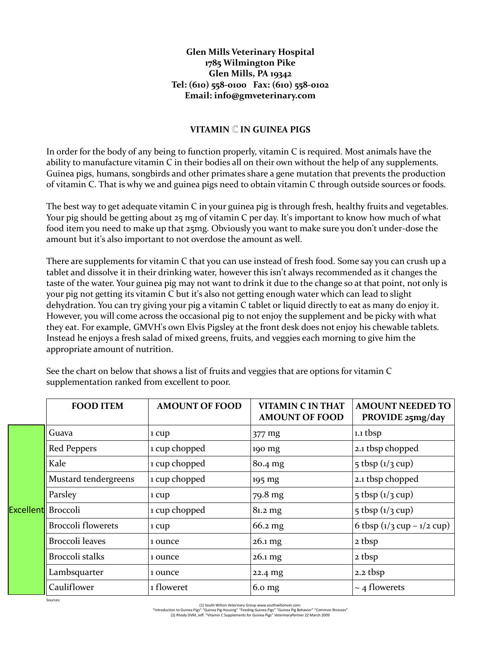## **Glen Mills Veterinary Hospital 1785 Wilmington Pike Glen Mills, PA 19342 Tel: (610) 558-0100 Fax: (610) 558-0102 Email: [info@gmveterinary.com](mailto:info@gmveterinary.com)**

## **VITAMIN IN GUINEA PIGS**

In order for the body of any being to function properly, vitamin C is required. Most animals have the ability to manufacture vitamin C in their bodies all on their own without the help of any supplements. Guinea pigs, humans, songbirds and other primates share a gene mutation that prevents the production of vitamin C. That is why we and guinea pigs need to obtain vitamin C through outside sources or foods.

The best way to get adequate vitamin C in your guinea pig is through fresh, healthy fruits and vegetables. Your pig should be getting about 25 mg of vitamin C per day. It's important to know how much of what food item you need to make up that 25mg. Obviously you want to make sure you don't under-dose the amount but it's also important to not overdose the amount as well.

There are supplements for vitamin C that you can use instead of fresh food. Some say you can crush up a tablet and dissolve it in their drinking water, however this isn't always recommended as it changes the taste of the water. Your guinea pig may not want to drink it due to the change so at that point, not only is your pig not getting its vitamin C but it's also not getting enough water which can lead to slight dehydration. You can try giving your pig a vitamin C tablet or liquid directly to eat as many do enjoy it. However, you will come across the occasional pig to not enjoy the supplement and be picky with what they eat. For example, GMVH's own Elvis Pigsley at the front desk does not enjoy his chewable tablets. Instead he enjoys a fresh salad of mixed greens, fruits, and veggies each morning to give him the appropriate amount of nutrition.

|                    | <b>FOOD ITEM</b>          | <b>AMOUNT OF FOOD</b> | <b>VITAMIN C IN THAT</b><br><b>AMOUNT OF FOOD</b> | <b>AMOUNT NEEDED TO</b><br>PROVIDE 25mg/day  |  |
|--------------------|---------------------------|-----------------------|---------------------------------------------------|----------------------------------------------|--|
| Excellent Broccoli | Guava                     | 1 cup                 | 377 mg                                            | $1.1$ tbsp                                   |  |
|                    | Red Peppers               | 1 cup chopped         | 190 mg                                            | 2.1 tbsp chopped                             |  |
|                    | Kale                      | 1 cup chopped         | 80.4 mg                                           | $5$ tbsp $(1/3$ cup)                         |  |
|                    | Mustard tendergreens      | 1 cup chopped         | 195 mg                                            | 2.1 tbsp chopped                             |  |
|                    | Parsley                   | 1 cup                 | 79.8 mg                                           | $5$ tbsp $(1/3$ cup)                         |  |
|                    |                           | 1 cup chopped         | $81.2 \,\text{mg}$                                | $5$ tbsp $(1/3$ cup)                         |  |
|                    | <b>Broccoli flowerets</b> | 1 cup                 | 66.2 mg                                           | 6 tbsp $(1/3 \text{ cup} - 1/2 \text{ cup})$ |  |
|                    | Broccoli leaves           | 1 ounce               | $26.1$ mg                                         | 2 tbsp                                       |  |
|                    | Broccoli stalks           | 1 ounce               | $26.1$ mg                                         | 2 tbsp                                       |  |
|                    | Lambsquarter              | 1 ounce               | 22.4 mg                                           | $2.2$ tbsp                                   |  |
|                    | Cauliflower               | 1 floweret            | 6.0 <sub>mg</sub>                                 | $\sim$ 4 flowerets                           |  |

See the chart on below that shows a list of fruits and veggies that are options for vitamin C supplementation ranked from excellent to poor.

Sources:

<sup>(1)</sup> South Wilton Veterinary Grou[p www.southwiltonvet.com:](http://www.southwiltonvet.com/)<br>"Introduction to Guinea Pigs" "Guinea Pig Housing" "Feeding Guinea Pigs" "Guinea Pig Behavior" "Common Illnesses"<br>(2) Rhody DVM, Jeff. "Vitamin C Supplements for Gu